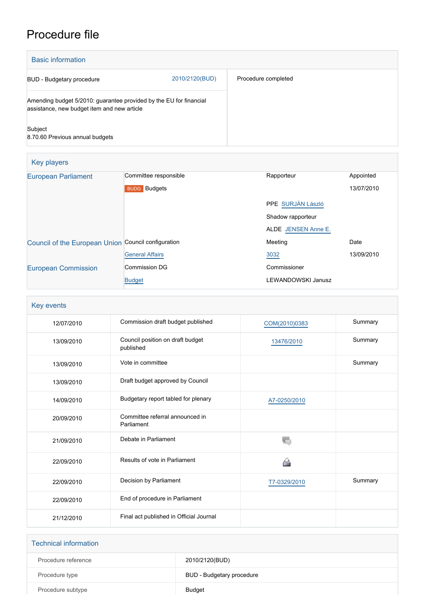# Procedure file

| <b>Basic information</b>                                                                                          |                |                     |
|-------------------------------------------------------------------------------------------------------------------|----------------|---------------------|
| BUD - Budgetary procedure                                                                                         | 2010/2120(BUD) | Procedure completed |
| Amending budget 5/2010: guarantee provided by the EU for financial<br>assistance, new budget item and new article |                |                     |
| Subject<br>8.70.60 Previous annual budgets                                                                        |                |                     |

| <b>Key players</b>                                  |                        |                     |            |
|-----------------------------------------------------|------------------------|---------------------|------------|
| <b>European Parliament</b>                          | Committee responsible  | Rapporteur          | Appointed  |
|                                                     | <b>BUDG</b> Budgets    |                     | 13/07/2010 |
|                                                     |                        | PPE SURJÁN László   |            |
|                                                     |                        | Shadow rapporteur   |            |
|                                                     |                        | ALDE JENSEN Anne E. |            |
| Council of the European Union Council configuration |                        | Meeting             | Date       |
|                                                     | <b>General Affairs</b> | 3032                | 13/09/2010 |
| <b>European Commission</b>                          | Commission DG          | Commissioner        |            |
|                                                     | <b>Budget</b>          | LEWANDOWSKI Janusz  |            |

| Key events |                                               |               |         |
|------------|-----------------------------------------------|---------------|---------|
| 12/07/2010 | Commission draft budget published             | COM(2010)0383 | Summary |
| 13/09/2010 | Council position on draft budget<br>published | 13476/2010    | Summary |
| 13/09/2010 | Vote in committee                             |               | Summary |
| 13/09/2010 | Draft budget approved by Council              |               |         |
| 14/09/2010 | Budgetary report tabled for plenary           | A7-0250/2010  |         |
| 20/09/2010 | Committee referral announced in<br>Parliament |               |         |
| 21/09/2010 | Debate in Parliament                          | T.            |         |
| 22/09/2010 | Results of vote in Parliament                 |               |         |
| 22/09/2010 | Decision by Parliament                        | T7-0329/2010  | Summary |
| 22/09/2010 | End of procedure in Parliament                |               |         |
| 21/12/2010 | Final act published in Official Journal       |               |         |

| <b>Technical information</b> |                           |
|------------------------------|---------------------------|
| Procedure reference          | 2010/2120(BUD)            |
| Procedure type               | BUD - Budgetary procedure |
| Procedure subtype            | Budget                    |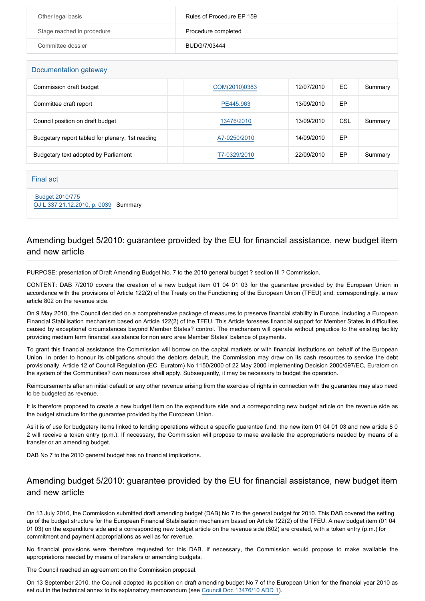| Other legal basis          | Rules of Procedure EP 159 |
|----------------------------|---------------------------|
| Stage reached in procedure | Procedure completed       |
| Committee dossier          | BUDG/7/03444              |

#### Documentation gateway

| 500                                              |               |            |     |         |
|--------------------------------------------------|---------------|------------|-----|---------|
| Commission draft budget                          | COM(2010)0383 | 12/07/2010 | EC  | Summary |
| Committee draft report                           | PE445.963     | 13/09/2010 | EP  |         |
| Council position on draft budget                 | 13476/2010    | 13/09/2010 | CSL | Summary |
| Budgetary report tabled for plenary, 1st reading | A7-0250/2010  | 14/09/2010 | EP  |         |
| Budgetary text adopted by Parliament             | F7-0329/2010  | 22/09/2010 | EP  | Summary |

#### Final act

 [Budget 2010/775](https://www.europarl.europa.eu/doceo/document/B-2-75-10B0_EN.html) [OJ L 337 21.12.2010, p. 0039](https://eur-lex.europa.eu/legal-content/EN/TXT/?uri=OJ:L:2010:337:TOC) Summary

# Amending budget 5/2010: guarantee provided by the EU for financial assistance, new budget item and new article

PURPOSE: presentation of Draft Amending Budget No. 7 to the 2010 general budget ? section III ? Commission.

CONTENT: DAB 7/2010 covers the creation of a new budget item 01 04 01 03 for the guarantee provided by the European Union in accordance with the provisions of Article 122(2) of the Treaty on the Functioning of the European Union (TFEU) and, correspondingly, a new article 802 on the revenue side.

On 9 May 2010, the Council decided on a comprehensive package of measures to preserve financial stability in Europe, including a European Financial Stabilisation mechanism based on Article 122(2) of the TFEU. This Article foresees financial support for Member States in difficulties caused by exceptional circumstances beyond Member States? control. The mechanism will operate without prejudice to the existing facility providing medium term financial assistance for non euro area Member States' balance of payments.

To grant this financial assistance the Commission will borrow on the capital markets or with financial institutions on behalf of the European Union. In order to honour its obligations should the debtors default, the Commission may draw on its cash resources to service the debt provisionally. Article 12 of Council Regulation (EC, Euratom) No 1150/2000 of 22 May 2000 implementing Decision 2000/597/EC, Euratom on the system of the Communities? own resources shall apply. Subsequently, it may be necessary to budget the operation.

Reimbursements after an initial default or any other revenue arising from the exercise of rights in connection with the guarantee may also need to be budgeted as revenue.

It is therefore proposed to create a new budget item on the expenditure side and a corresponding new budget article on the revenue side as the budget structure for the guarantee provided by the European Union.

As it is of use for budgetary items linked to lending operations without a specific guarantee fund, the new item 01 04 01 03 and new article 8 0 2 will receive a token entry (p.m.). If necessary, the Commission will propose to make available the appropriations needed by means of a transfer or an amending budget.

DAB No 7 to the 2010 general budget has no financial implications.

# Amending budget 5/2010: guarantee provided by the EU for financial assistance, new budget item and new article

On 13 July 2010, the Commission submitted draft amending budget (DAB) No 7 to the general budget for 2010. This DAB covered the setting up of the budget structure for the European Financial Stabilisation mechanism based on Article 122(2) of the TFEU. A new budget item (01 04 01 03) on the expenditure side and a corresponding new budget article on the revenue side (802) are created, with a token entry (p.m.) for commitment and payment appropriations as well as for revenue.

No financial provisions were therefore requested for this DAB. If necessary, the Commission would propose to make available the appropriations needed by means of transfers or amending budgets.

The Council reached an agreement on the Commission proposal.

On 13 September 2010, the Council adopted its position on draft amending budget No 7 of the European Union for the financial year 2010 as set out in the technical annex to its explanatory memorandum (see [Council Doc 13476/10 ADD 1\)](http://register.consilium.europa.eu/pdf/en/10/st13/st13476-ad01.en10.pdf).